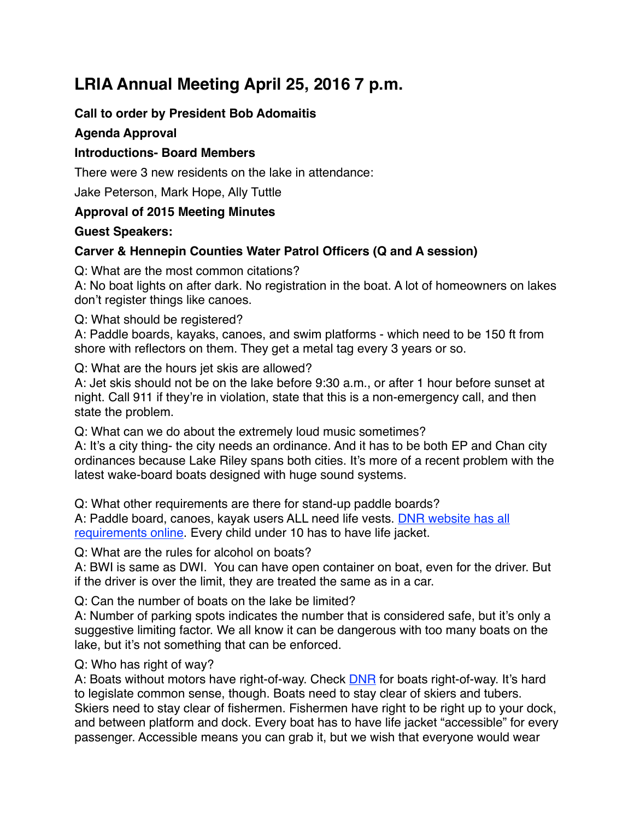# **LRIA Annual Meeting April 25, 2016 7 p.m.**

# **Call to order by President Bob Adomaitis**

## **Agenda Approval**

## **Introductions- Board Members**

There were 3 new residents on the lake in attendance:

Jake Peterson, Mark Hope, Ally Tuttle

## **Approval of 2015 Meeting Minutes**

#### **Guest Speakers:**

# **Carver & Hennepin Counties Water Patrol Officers (Q and A session)**

Q: What are the most common citations?

A: No boat lights on after dark. No registration in the boat. A lot of homeowners on lakes don't register things like canoes.

Q: What should be registered?

A: Paddle boards, kayaks, canoes, and swim platforms - which need to be 150 ft from shore with reflectors on them. They get a metal tag every 3 years or so.

Q: What are the hours jet skis are allowed?

A: Jet skis should not be on the lake before 9:30 a.m., or after 1 hour before sunset at night. Call 911 if they're in violation, state that this is a non-emergency call, and then state the problem.

Q: What can we do about the extremely loud music sometimes?

A: It's a city thing- the city needs an ordinance. And it has to be both EP and Chan city ordinances because Lake Riley spans both cities. It's more of a recent problem with the latest wake-board boats designed with huge sound systems.

Q: What other requirements are there for stand-up paddle boards? A: Paddle board, canoes, kayak users ALL need life vests. [DNR website has all](http://www.dnr.state.mn.us/boating/index.html)  [requirements online](http://www.dnr.state.mn.us/boating/index.html). Every child under 10 has to have life jacket.

Q: What are the rules for alcohol on boats?

A: BWI is same as DWI. You can have open container on boat, even for the driver. But if the driver is over the limit, they are treated the same as in a car.

Q: Can the number of boats on the lake be limited?

A: Number of parking spots indicates the number that is considered safe, but it's only a suggestive limiting factor. We all know it can be dangerous with too many boats on the lake, but it's not something that can be enforced.

Q: Who has right of way?

A: Boats without motors have right-of-way. Check [DNR](http://www.dnr.state.mn.us/boating/index.html) for boats right-of-way. It's hard to legislate common sense, though. Boats need to stay clear of skiers and tubers. Skiers need to stay clear of fishermen. Fishermen have right to be right up to your dock, and between platform and dock. Every boat has to have life jacket "accessible" for every passenger. Accessible means you can grab it, but we wish that everyone would wear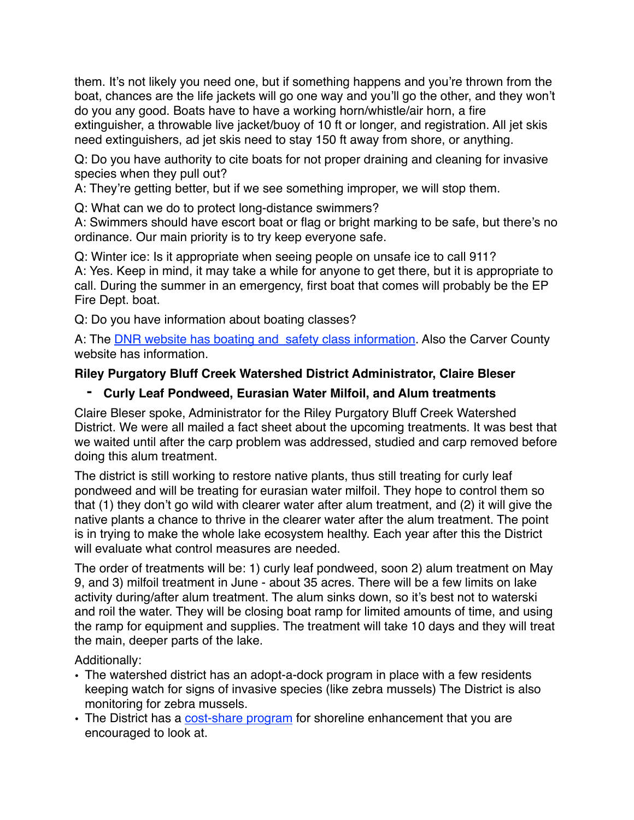them. It's not likely you need one, but if something happens and you're thrown from the boat, chances are the life jackets will go one way and you'll go the other, and they won't do you any good. Boats have to have a working horn/whistle/air horn, a fire extinguisher, a throwable live jacket/buoy of 10 ft or longer, and registration. All jet skis need extinguishers, ad jet skis need to stay 150 ft away from shore, or anything.

Q: Do you have authority to cite boats for not proper draining and cleaning for invasive species when they pull out?

A: They're getting better, but if we see something improper, we will stop them.

Q: What can we do to protect long-distance swimmers?

A: Swimmers should have escort boat or flag or bright marking to be safe, but there's no ordinance. Our main priority is to try keep everyone safe.

Q: Winter ice: Is it appropriate when seeing people on unsafe ice to call 911? A: Yes. Keep in mind, it may take a while for anyone to get there, but it is appropriate to call. During the summer in an emergency, first boat that comes will probably be the EP Fire Dept. boat.

Q: Do you have information about boating classes?

A: The **DNR** website has boating and safety class information. Also the Carver County website has information.

# **Riley Purgatory Bluff Creek Watershed District Administrator, Claire Bleser**

## **- Curly Leaf Pondweed, Eurasian Water Milfoil, and Alum treatments**

Claire Bleser spoke, Administrator for the Riley Purgatory Bluff Creek Watershed District. We were all mailed a fact sheet about the upcoming treatments. It was best that we waited until after the carp problem was addressed, studied and carp removed before doing this alum treatment.

The district is still working to restore native plants, thus still treating for curly leaf pondweed and will be treating for eurasian water milfoil. They hope to control them so that (1) they don't go wild with clearer water after alum treatment, and (2) it will give the native plants a chance to thrive in the clearer water after the alum treatment. The point is in trying to make the whole lake ecosystem healthy. Each year after this the District will evaluate what control measures are needed.

The order of treatments will be: 1) curly leaf pondweed, soon 2) alum treatment on May 9, and 3) milfoil treatment in June - about 35 acres. There will be a few limits on lake activity during/after alum treatment. The alum sinks down, so it's best not to waterski and roil the water. They will be closing boat ramp for limited amounts of time, and using the ramp for equipment and supplies. The treatment will take 10 days and they will treat the main, deeper parts of the lake.

Additionally:

- The watershed district has an adopt-a-dock program in place with a few residents keeping watch for signs of invasive species (like zebra mussels) The District is also monitoring for zebra mussels.
- The District has a [cost-share program](http://www.rpbcwd.org/rpbcwd-resources/let-us-help-you-gar/) for shoreline enhancement that you are encouraged to look at.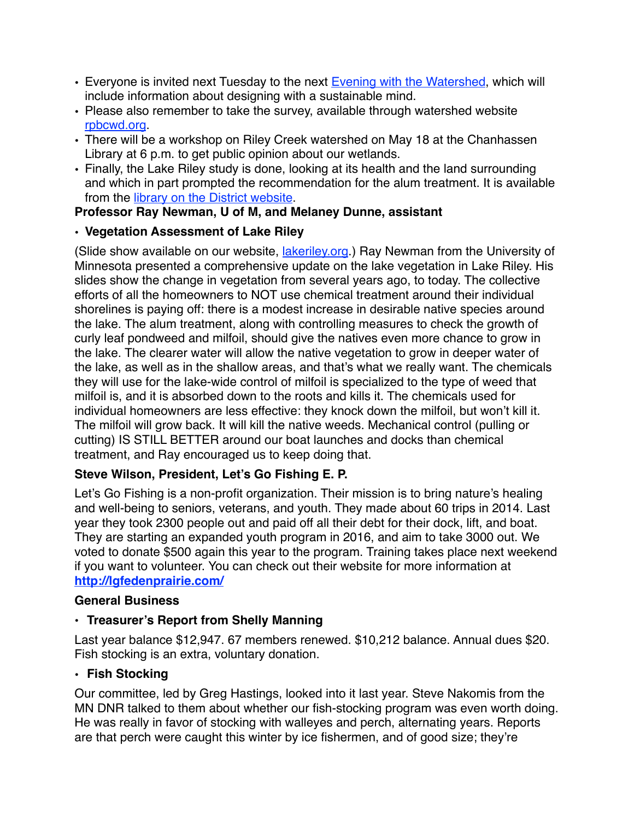- Everyone is invited next Tuesday to the next [Evening with the Watershed](http://rpbcwd.org/events/evening-watershed3/), which will include information about designing with a sustainable mind.
- Please also remember to take the survey, available through watershed website [rpbcwd.org](http://rpbcwd.org/news/have-your-voice-heard/).
- There will be a workshop on Riley Creek watershed on May 18 at the Chanhassen Library at 6 p.m. to get public opinion about our wetlands.
- Finally, the Lake Riley study is done, looking at its health and the land surrounding and which in part prompted the recommendation for the alum treatment. It is available from the [library on the District website.](http://rpbcwd.org/library/)

## **Professor Ray Newman, U of M, and Melaney Dunne, assistant**

#### **• Vegetation Assessment of Lake Riley**

(Slide show available on our website, [lakeriley.org.](http://lakeriley.org)) Ray Newman from the University of Minnesota presented a comprehensive update on the lake vegetation in Lake Riley. His slides show the change in vegetation from several years ago, to today. The collective efforts of all the homeowners to NOT use chemical treatment around their individual shorelines is paying off: there is a modest increase in desirable native species around the lake. The alum treatment, along with controlling measures to check the growth of curly leaf pondweed and milfoil, should give the natives even more chance to grow in the lake. The clearer water will allow the native vegetation to grow in deeper water of the lake, as well as in the shallow areas, and that's what we really want. The chemicals they will use for the lake-wide control of milfoil is specialized to the type of weed that milfoil is, and it is absorbed down to the roots and kills it. The chemicals used for individual homeowners are less effective: they knock down the milfoil, but won't kill it. The milfoil will grow back. It will kill the native weeds. Mechanical control (pulling or cutting) IS STILL BETTER around our boat launches and docks than chemical treatment, and Ray encouraged us to keep doing that.

## **Steve Wilson, President, Let's Go Fishing E. P.**

Let's Go Fishing is a non-profit organization. Their mission is to bring nature's healing and well-being to seniors, veterans, and youth. They made about 60 trips in 2014. Last year they took 2300 people out and paid off all their debt for their dock, lift, and boat. They are starting an expanded youth program in 2016, and aim to take 3000 out. We voted to donate \$500 again this year to the program. Training takes place next weekend if you want to volunteer. You can check out their website for more information at **<http://lgfedenprairie.com/>**

#### **General Business**

#### **• Treasurer's Report from Shelly Manning**

Last year balance \$12,947. 67 members renewed. \$10,212 balance. Annual dues \$20. Fish stocking is an extra, voluntary donation.

#### **• Fish Stocking**

Our committee, led by Greg Hastings, looked into it last year. Steve Nakomis from the MN DNR talked to them about whether our fish-stocking program was even worth doing. He was really in favor of stocking with walleyes and perch, alternating years. Reports are that perch were caught this winter by ice fishermen, and of good size; they're